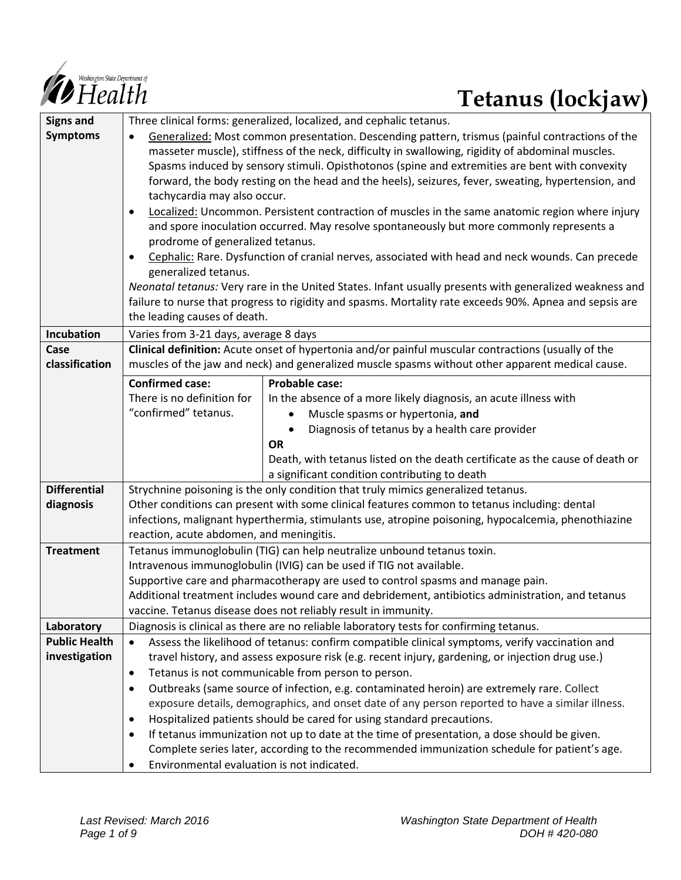

# **Tetanus (lockjaw)**

| <b>Signs and</b>     | Three clinical forms: generalized, localized, and cephalic tetanus.                                          |                                                                                                         |  |  |  |
|----------------------|--------------------------------------------------------------------------------------------------------------|---------------------------------------------------------------------------------------------------------|--|--|--|
| <b>Symptoms</b>      | Generalized: Most common presentation. Descending pattern, trismus (painful contractions of the<br>$\bullet$ |                                                                                                         |  |  |  |
|                      | masseter muscle), stiffness of the neck, difficulty in swallowing, rigidity of abdominal muscles.            |                                                                                                         |  |  |  |
|                      | Spasms induced by sensory stimuli. Opisthotonos (spine and extremities are bent with convexity               |                                                                                                         |  |  |  |
|                      |                                                                                                              | forward, the body resting on the head and the heels), seizures, fever, sweating, hypertension, and      |  |  |  |
|                      | tachycardia may also occur.                                                                                  |                                                                                                         |  |  |  |
|                      | $\bullet$                                                                                                    | Localized: Uncommon. Persistent contraction of muscles in the same anatomic region where injury         |  |  |  |
|                      |                                                                                                              | and spore inoculation occurred. May resolve spontaneously but more commonly represents a                |  |  |  |
|                      | prodrome of generalized tetanus.                                                                             |                                                                                                         |  |  |  |
|                      | $\bullet$                                                                                                    | Cephalic: Rare. Dysfunction of cranial nerves, associated with head and neck wounds. Can precede        |  |  |  |
|                      | generalized tetanus.                                                                                         |                                                                                                         |  |  |  |
|                      |                                                                                                              | Neonatal tetanus: Very rare in the United States. Infant usually presents with generalized weakness and |  |  |  |
|                      |                                                                                                              | failure to nurse that progress to rigidity and spasms. Mortality rate exceeds 90%. Apnea and sepsis are |  |  |  |
|                      | the leading causes of death.                                                                                 |                                                                                                         |  |  |  |
| <b>Incubation</b>    | Varies from 3-21 days, average 8 days                                                                        |                                                                                                         |  |  |  |
| Case                 |                                                                                                              | Clinical definition: Acute onset of hypertonia and/or painful muscular contractions (usually of the     |  |  |  |
| classification       |                                                                                                              | muscles of the jaw and neck) and generalized muscle spasms without other apparent medical cause.        |  |  |  |
|                      |                                                                                                              |                                                                                                         |  |  |  |
|                      | <b>Confirmed case:</b>                                                                                       | <b>Probable case:</b>                                                                                   |  |  |  |
|                      | There is no definition for                                                                                   | In the absence of a more likely diagnosis, an acute illness with                                        |  |  |  |
|                      | "confirmed" tetanus.                                                                                         | Muscle spasms or hypertonia, and                                                                        |  |  |  |
|                      |                                                                                                              | Diagnosis of tetanus by a health care provider                                                          |  |  |  |
|                      |                                                                                                              | <b>OR</b>                                                                                               |  |  |  |
|                      |                                                                                                              | Death, with tetanus listed on the death certificate as the cause of death or                            |  |  |  |
|                      |                                                                                                              | a significant condition contributing to death                                                           |  |  |  |
| <b>Differential</b>  |                                                                                                              | Strychnine poisoning is the only condition that truly mimics generalized tetanus.                       |  |  |  |
| diagnosis            |                                                                                                              | Other conditions can present with some clinical features common to tetanus including: dental            |  |  |  |
|                      | infections, malignant hyperthermia, stimulants use, atropine poisoning, hypocalcemia, phenothiazine          |                                                                                                         |  |  |  |
|                      | reaction, acute abdomen, and meningitis.                                                                     |                                                                                                         |  |  |  |
| <b>Treatment</b>     |                                                                                                              | Tetanus immunoglobulin (TIG) can help neutralize unbound tetanus toxin.                                 |  |  |  |
|                      | Intravenous immunoglobulin (IVIG) can be used if TIG not available.                                          |                                                                                                         |  |  |  |
|                      | Supportive care and pharmacotherapy are used to control spasms and manage pain.                              |                                                                                                         |  |  |  |
|                      | Additional treatment includes wound care and debridement, antibiotics administration, and tetanus            |                                                                                                         |  |  |  |
|                      |                                                                                                              | vaccine. Tetanus disease does not reliably result in immunity.                                          |  |  |  |
| Laboratory           |                                                                                                              | Diagnosis is clinical as there are no reliable laboratory tests for confirming tetanus.                 |  |  |  |
| <b>Public Health</b> | Assess the likelihood of tetanus: confirm compatible clinical symptoms, verify vaccination and<br>$\bullet$  |                                                                                                         |  |  |  |
| investigation        | travel history, and assess exposure risk (e.g. recent injury, gardening, or injection drug use.)             |                                                                                                         |  |  |  |
|                      | $\bullet$                                                                                                    | Tetanus is not communicable from person to person.                                                      |  |  |  |
|                      | $\bullet$                                                                                                    | Outbreaks (same source of infection, e.g. contaminated heroin) are extremely rare. Collect              |  |  |  |
|                      |                                                                                                              | exposure details, demographics, and onset date of any person reported to have a similar illness.        |  |  |  |
|                      | ٠                                                                                                            | Hospitalized patients should be cared for using standard precautions.                                   |  |  |  |
|                      | $\bullet$                                                                                                    | If tetanus immunization not up to date at the time of presentation, a dose should be given.             |  |  |  |
|                      | Complete series later, according to the recommended immunization schedule for patient's age.                 |                                                                                                         |  |  |  |
|                      | Environmental evaluation is not indicated.<br>$\bullet$                                                      |                                                                                                         |  |  |  |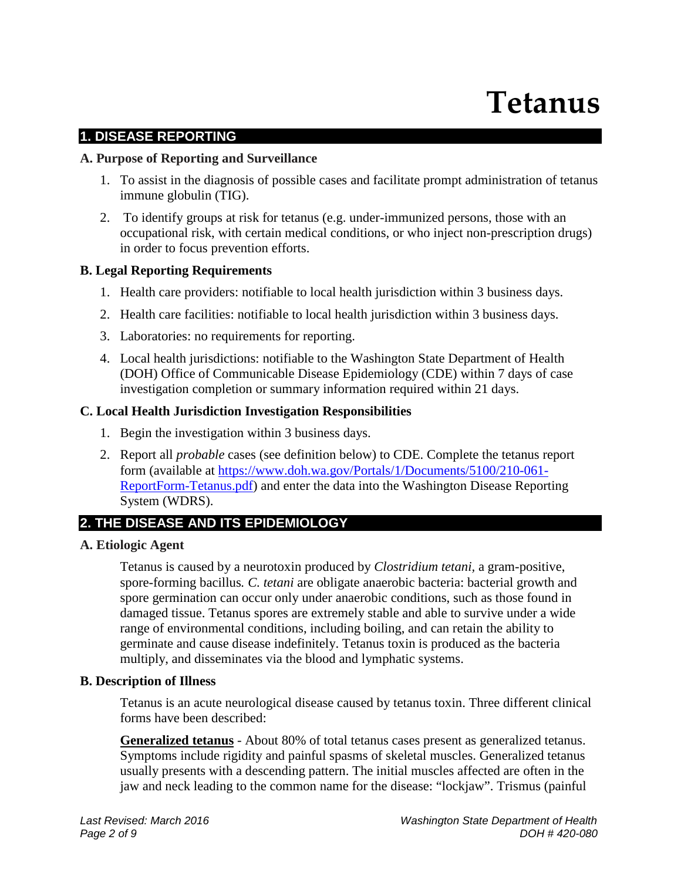# **Tetanus**

# **1. DISEASE REPORTING**

#### **A. Purpose of Reporting and Surveillance**

- 1. To assist in the diagnosis of possible cases and facilitate prompt administration of tetanus immune globulin (TIG).
- 2. To identify groups at risk for tetanus (e.g. under-immunized persons, those with an occupational risk, with certain medical conditions, or who inject non-prescription drugs) in order to focus prevention efforts.

#### **B. Legal Reporting Requirements**

- 1. Health care providers: notifiable to local health jurisdiction within 3 business days.
- 2. Health care facilities: notifiable to local health jurisdiction within 3 business days.
- 3. Laboratories: no requirements for reporting.
- 4. Local health jurisdictions: notifiable to the Washington State Department of Health (DOH) Office of Communicable Disease Epidemiology (CDE) within 7 days of case investigation completion or summary information required within 21 days.

#### **C. Local Health Jurisdiction Investigation Responsibilities**

- 1. Begin the investigation within 3 business days.
- 2. Report all *probable* cases (see definition below) to CDE. Complete the tetanus report form (available at [https://www.doh.wa.gov/Portals/1/Documents/5100/210-061-](https://www.doh.wa.gov/Portals/1/Documents/5100/210-061-ReportForm-Tetanus.pdf) [ReportForm-Tetanus.pdf\)](https://www.doh.wa.gov/Portals/1/Documents/5100/210-061-ReportForm-Tetanus.pdf) and enter the data into the Washington Disease Reporting System (WDRS).

# **2. THE DISEASE AND ITS EPIDEMIOLOGY**

#### **A. Etiologic Agent**

Tetanus is caused by a neurotoxin produced by *Clostridium tetani,* a gram-positive, spore-forming bacillus*. C. tetani* are obligate anaerobic bacteria: bacterial growth and spore germination can occur only under anaerobic conditions, such as those found in damaged tissue. Tetanus spores are extremely stable and able to survive under a wide range of environmental conditions, including boiling, and can retain the ability to germinate and cause disease indefinitely. Tetanus toxin is produced as the bacteria multiply, and disseminates via the blood and lymphatic systems.

# **B. Description of Illness**

Tetanus is an acute neurological disease caused by tetanus toxin. Three different clinical forms have been described:

**Generalized tetanus** - About 80% of total tetanus cases present as generalized tetanus. Symptoms include rigidity and painful spasms of skeletal muscles. Generalized tetanus usually presents with a descending pattern. The initial muscles affected are often in the jaw and neck leading to the common name for the disease: "lockjaw". Trismus (painful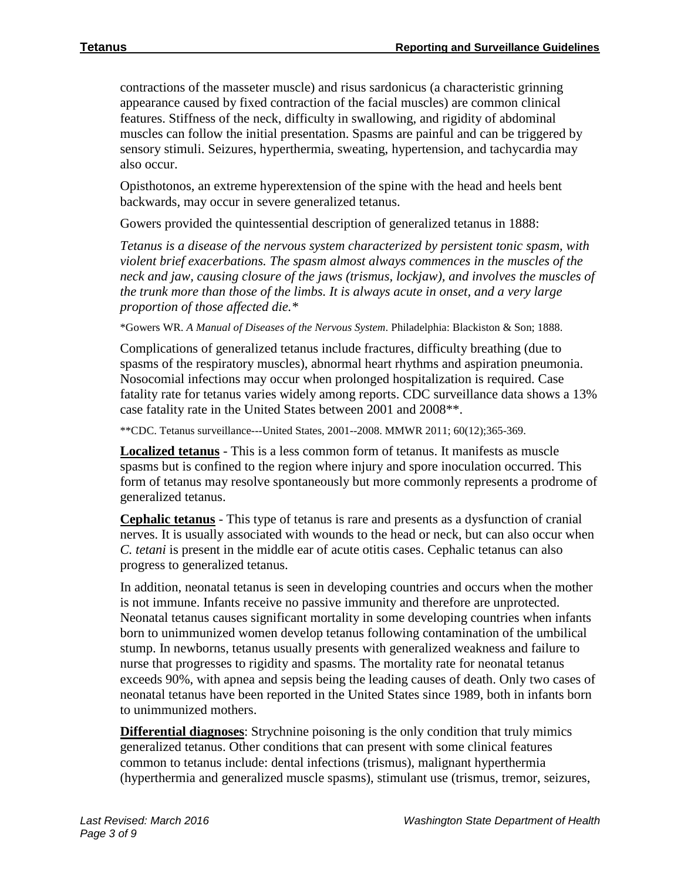contractions of the masseter muscle) and risus sardonicus (a characteristic grinning appearance caused by fixed contraction of the facial muscles) are common clinical features. Stiffness of the neck, difficulty in swallowing, and rigidity of abdominal muscles can follow the initial presentation. Spasms are painful and can be triggered by sensory stimuli. Seizures, hyperthermia, sweating, hypertension, and tachycardia may also occur.

Opisthotonos, an extreme hyperextension of the spine with the head and heels bent backwards, may occur in severe generalized tetanus.

Gowers provided the quintessential description of generalized tetanus in 1888:

*Tetanus is a disease of the nervous system characterized by persistent tonic spasm, with violent brief exacerbations. The spasm almost always commences in the muscles of the neck and jaw, causing closure of the jaws (trismus, lockjaw), and involves the muscles of the trunk more than those of the limbs. It is always acute in onset, and a very large proportion of those affected die.\**

\*Gowers WR. *A Manual of Diseases of the Nervous System*. Philadelphia: Blackiston & Son; 1888.

Complications of generalized tetanus include fractures, difficulty breathing (due to spasms of the respiratory muscles), abnormal heart rhythms and aspiration pneumonia. Nosocomial infections may occur when prolonged hospitalization is required. Case fatality rate for tetanus varies widely among reports. CDC surveillance data shows a 13% case fatality rate in the United States between 2001 and 2008\*\*.

\*\*CDC. Tetanus surveillance---United States, 2001--2008. MMWR 2011; 60(12);365-369.

**Localized tetanus** - This is a less common form of tetanus. It manifests as muscle spasms but is confined to the region where injury and spore inoculation occurred. This form of tetanus may resolve spontaneously but more commonly represents a prodrome of generalized tetanus.

**Cephalic tetanus** - This type of tetanus is rare and presents as a dysfunction of cranial nerves. It is usually associated with wounds to the head or neck, but can also occur when *C. tetani* is present in the middle ear of acute otitis cases. Cephalic tetanus can also progress to generalized tetanus.

In addition, neonatal tetanus is seen in developing countries and occurs when the mother is not immune. Infants receive no passive immunity and therefore are unprotected. Neonatal tetanus causes significant mortality in some developing countries when infants born to unimmunized women develop tetanus following contamination of the umbilical stump. In newborns, tetanus usually presents with generalized weakness and failure to nurse that progresses to rigidity and spasms. The mortality rate for neonatal tetanus exceeds 90%, with apnea and sepsis being the leading causes of death. Only two cases of neonatal tetanus have been reported in the United States since 1989, both in infants born to unimmunized mothers.

**Differential diagnoses**: Strychnine poisoning is the only condition that truly mimics generalized tetanus. Other conditions that can present with some clinical features common to tetanus include: dental infections (trismus), malignant hyperthermia (hyperthermia and generalized muscle spasms), stimulant use (trismus, tremor, seizures,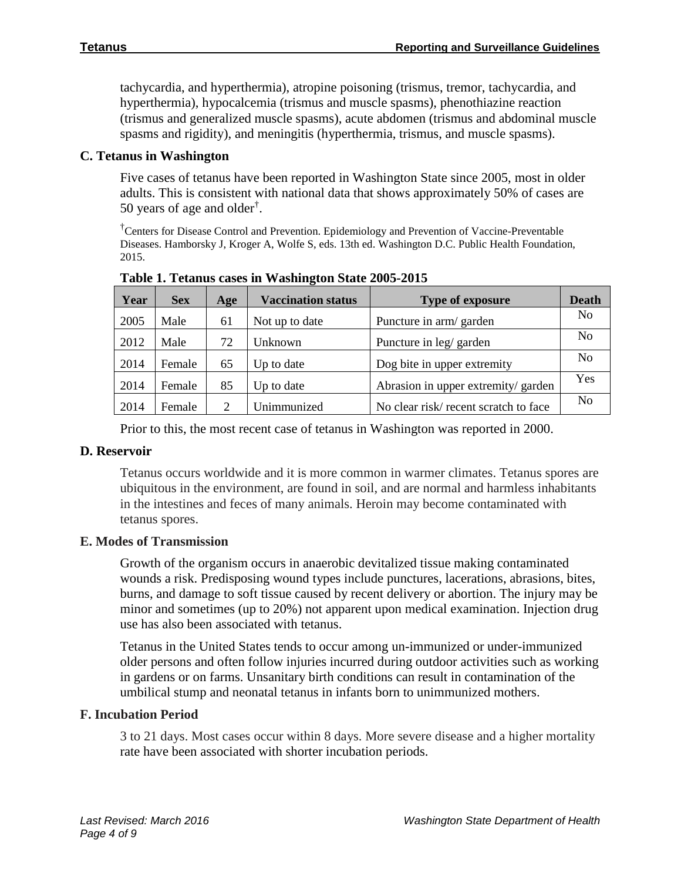tachycardia, and hyperthermia), atropine poisoning (trismus, tremor, tachycardia, and hyperthermia), hypocalcemia (trismus and muscle spasms), phenothiazine reaction (trismus and generalized muscle spasms), acute abdomen (trismus and abdominal muscle spasms and rigidity), and meningitis (hyperthermia, trismus, and muscle spasms).

# **C. Tetanus in Washington**

Five cases of tetanus have been reported in Washington State since 2005, most in older adults. This is consistent with national data that shows approximately 50% of cases are 50 years of age and older† .

† Centers for Disease Control and Prevention. Epidemiology and Prevention of Vaccine-Preventable Diseases. Hamborsky J, Kroger A, Wolfe S, eds. 13th ed. Washington D.C. Public Health Foundation, 2015.

| Year | <b>Sex</b> | Age                         | <b>Vaccination status</b> | <b>Type of exposure</b>              | <b>Death</b>   |
|------|------------|-----------------------------|---------------------------|--------------------------------------|----------------|
| 2005 | Male       | 61                          | Not up to date            | Puncture in arm/ garden              | N <sub>0</sub> |
| 2012 | Male       | 72                          | Unknown                   | Puncture in leg/ garden              | N <sub>0</sub> |
| 2014 | Female     | 65                          | Up to date                | Dog bite in upper extremity          | N <sub>0</sub> |
| 2014 | Female     | 85                          | Up to date                | Abrasion in upper extremity/ garden  | Yes            |
| 2014 | Female     | $\mathcal{D}_{\mathcal{A}}$ | Unimmunized               | No clear risk/recent scratch to face | N <sub>0</sub> |

**Table 1. Tetanus cases in Washington State 2005-2015**

Prior to this, the most recent case of tetanus in Washington was reported in 2000.

# **D. Reservoir**

Tetanus occurs worldwide and it is more common in warmer climates. Tetanus spores are ubiquitous in the environment, are found in soil, and are normal and harmless inhabitants in the intestines and feces of many animals. Heroin may become contaminated with tetanus spores.

# **E. Modes of Transmission**

Growth of the organism occurs in anaerobic devitalized tissue making contaminated wounds a risk. Predisposing wound types include punctures, lacerations, abrasions, bites, burns, and damage to soft tissue caused by recent delivery or abortion. The injury may be minor and sometimes (up to 20%) not apparent upon medical examination. Injection drug use has also been associated with tetanus.

Tetanus in the United States tends to occur among un-immunized or under-immunized older persons and often follow injuries incurred during outdoor activities such as working in gardens or on farms. Unsanitary birth conditions can result in contamination of the umbilical stump and neonatal tetanus in infants born to unimmunized mothers.

# **F. Incubation Period**

3 to 21 days. Most cases occur within 8 days. More severe disease and a higher mortality rate have been associated with shorter incubation periods.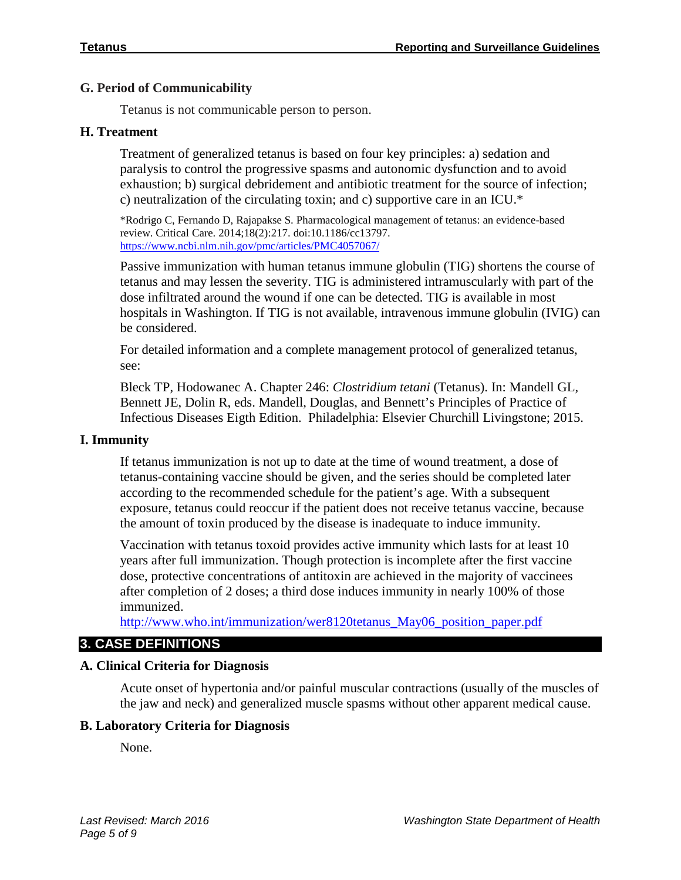# **G. Period of Communicability**

Tetanus is not communicable person to person.

# **H. Treatment**

Treatment of generalized tetanus is based on four key principles: a) sedation and paralysis to control the progressive spasms and autonomic dysfunction and to avoid exhaustion; b) surgical debridement and antibiotic treatment for the source of infection; c) neutralization of the circulating toxin; and c) supportive care in an ICU.\*

\*Rodrigo C, Fernando D, Rajapakse S. Pharmacological management of tetanus: an evidence-based review. Critical Care. 2014;18(2):217. doi:10.1186/cc13797. <https://www.ncbi.nlm.nih.gov/pmc/articles/PMC4057067/>

Passive immunization with human tetanus immune globulin (TIG) shortens the course of tetanus and may lessen the severity. TIG is administered intramuscularly with part of the dose infiltrated around the wound if one can be detected. TIG is available in most hospitals in Washington. If TIG is not available, intravenous immune globulin (IVIG) can be considered.

For detailed information and a complete management protocol of generalized tetanus, see:

Bleck TP, Hodowanec A. Chapter 246: *Clostridium tetani* (Tetanus). In: Mandell GL, Bennett JE, Dolin R, eds. Mandell, Douglas, and Bennett's Principles of Practice of Infectious Diseases Eigth Edition. Philadelphia: Elsevier Churchill Livingstone; 2015.

#### **I. Immunity**

If tetanus immunization is not up to date at the time of wound treatment, a dose of tetanus-containing vaccine should be given, and the series should be completed later according to the recommended schedule for the patient's age. With a subsequent exposure, tetanus could reoccur if the patient does not receive tetanus vaccine, because the amount of toxin produced by the disease is inadequate to induce immunity.

Vaccination with tetanus toxoid provides active immunity which lasts for at least 10 years after full immunization. Though protection is incomplete after the first vaccine dose, protective concentrations of antitoxin are achieved in the majority of vaccinees after completion of 2 doses; a third dose induces immunity in nearly 100% of those immunized.

[http://www.who.int/immunization/wer8120tetanus\\_May06\\_position\\_paper.pdf](http://www.who.int/immunization/wer8120tetanus_May06_position_paper.pdf)

# **3. CASE DEFINITIONS**

# **A. Clinical Criteria for Diagnosis**

Acute onset of hypertonia and/or painful muscular contractions (usually of the muscles of the jaw and neck) and generalized muscle spasms without other apparent medical cause.

# **B. Laboratory Criteria for Diagnosis**

None.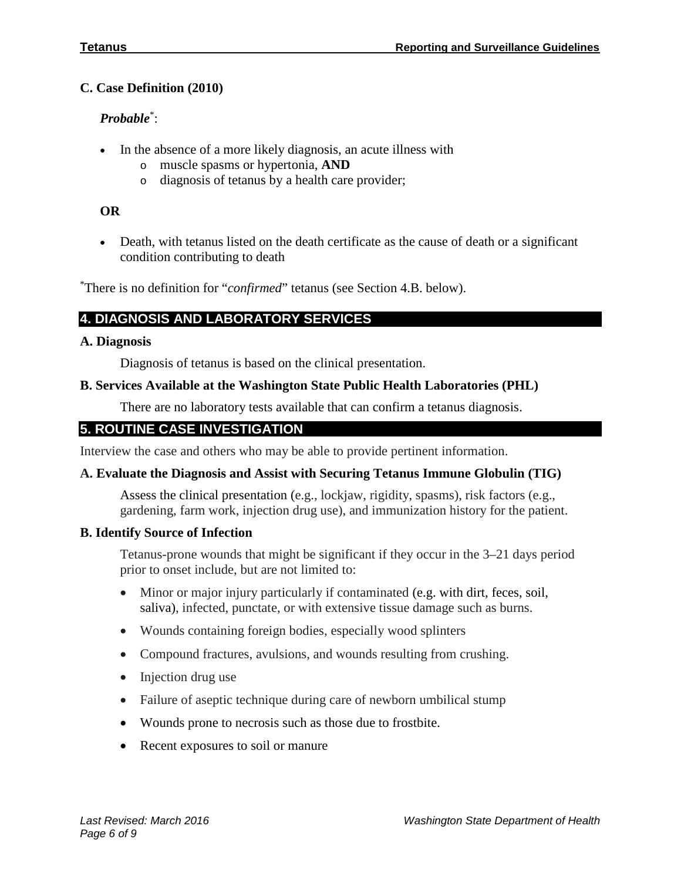# **C. Case Definition (2010)**

# *Probable*\* :

- In the absence of a more likely diagnosis, an acute illness with
	- o muscle spasms or hypertonia, **AND**
	- o diagnosis of tetanus by a health care provider;

# **OR**

• Death, with tetanus listed on the death certificate as the cause of death or a significant condition contributing to death

\* There is no definition for "*confirmed*" tetanus (see Section 4.B. below).

# **4. DIAGNOSIS AND LABORATORY SERVICES**

# **A. Diagnosis**

Diagnosis of tetanus is based on the clinical presentation.

# **B. Services Available at the Washington State Public Health Laboratories (PHL)**

There are no laboratory tests available that can confirm a tetanus diagnosis.

# **5. ROUTINE CASE INVESTIGATION**

Interview the case and others who may be able to provide pertinent information.

# **A. Evaluate the Diagnosis and Assist with Securing Tetanus Immune Globulin (TIG)**

Assess the clinical presentation (e.g., lockjaw, rigidity, spasms), risk factors (e.g., gardening, farm work, injection drug use), and immunization history for the patient.

# **B. Identify Source of Infection**

Tetanus-prone wounds that might be significant if they occur in the 3–21 days period prior to onset include, but are not limited to:

- Minor or major injury particularly if contaminated (e.g. with dirt, feces, soil, saliva), infected, punctate, or with extensive tissue damage such as burns.
- Wounds containing foreign bodies, especially wood splinters
- Compound fractures, avulsions, and wounds resulting from crushing.
- Injection drug use
- Failure of aseptic technique during care of newborn umbilical stump
- Wounds prone to necrosis such as those due to frostbite.
- Recent exposures to soil or manure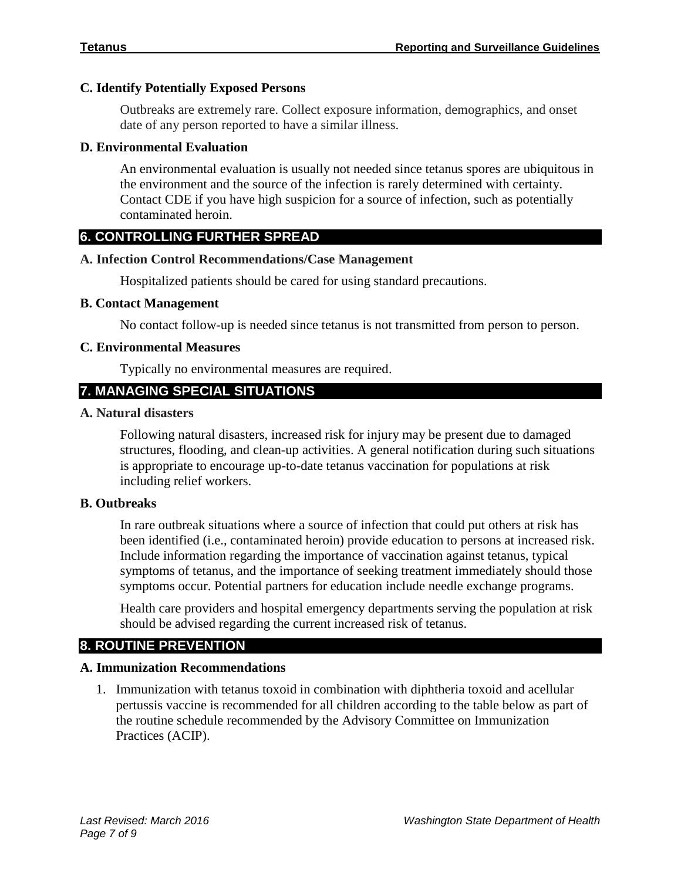# **C. Identify Potentially Exposed Persons**

Outbreaks are extremely rare. Collect exposure information, demographics, and onset date of any person reported to have a similar illness.

# **D. Environmental Evaluation**

An environmental evaluation is usually not needed since tetanus spores are ubiquitous in the environment and the source of the infection is rarely determined with certainty. Contact CDE if you have high suspicion for a source of infection, such as potentially contaminated heroin.

# **6. CONTROLLING FURTHER SPREAD**

# **A. Infection Control Recommendations/Case Management**

Hospitalized patients should be cared for using standard precautions.

# **B. Contact Management**

No contact follow-up is needed since tetanus is not transmitted from person to person.

# **C. Environmental Measures**

Typically no environmental measures are required.

# **7. MANAGING SPECIAL SITUATIONS**

# **A. Natural disasters**

Following natural disasters, increased risk for injury may be present due to damaged structures, flooding, and clean-up activities. A general notification during such situations is appropriate to encourage up-to-date tetanus vaccination for populations at risk including relief workers.

# **B. Outbreaks**

In rare outbreak situations where a source of infection that could put others at risk has been identified (i.e., contaminated heroin) provide education to persons at increased risk. Include information regarding the importance of vaccination against tetanus, typical symptoms of tetanus, and the importance of seeking treatment immediately should those symptoms occur. Potential partners for education include needle exchange programs.

Health care providers and hospital emergency departments serving the population at risk should be advised regarding the current increased risk of tetanus.

# **8. ROUTINE PREVENTION**

# **A. Immunization Recommendations**

1. Immunization with tetanus toxoid in combination with diphtheria toxoid and acellular pertussis vaccine is recommended for all children according to the table below as part of the routine schedule recommended by the Advisory Committee on Immunization Practices (ACIP).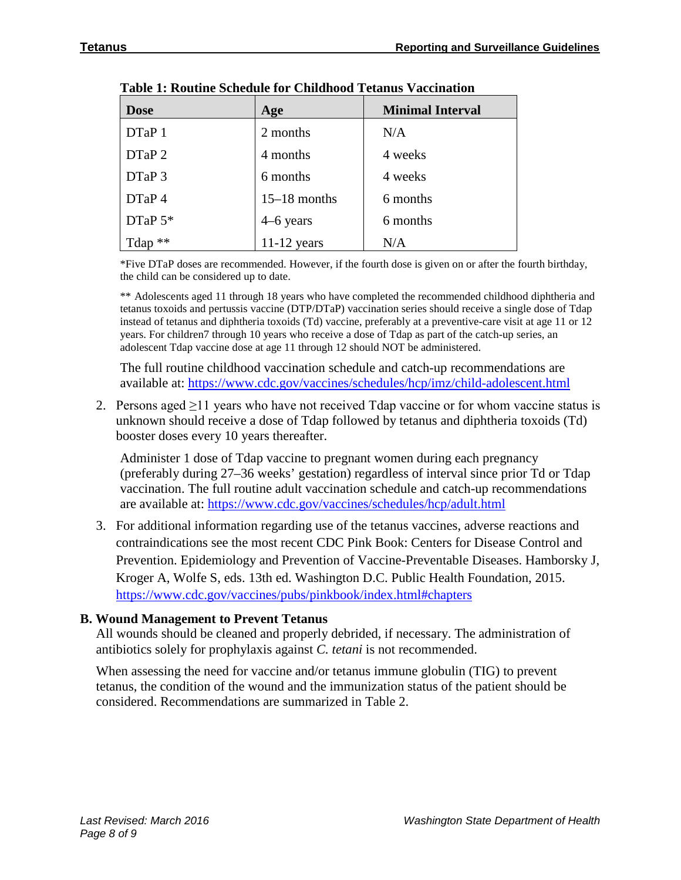| <b>Dose</b> | Age            | <b>Minimal Interval</b> |
|-------------|----------------|-------------------------|
| DTaP 1      | 2 months       | N/A                     |
| DTaP 2      | 4 months       | 4 weeks                 |
| DTaP 3      | 6 months       | 4 weeks                 |
| DTaP 4      | $15-18$ months | 6 months                |
| DTaP 5*     | $4-6$ years    | 6 months                |
| Tdap **     | $11-12$ years  | N/A                     |

|  |  |  | Table 1: Routine Schedule for Childhood Tetanus Vaccination |  |  |  |
|--|--|--|-------------------------------------------------------------|--|--|--|
|--|--|--|-------------------------------------------------------------|--|--|--|

\*Five DTaP doses are recommended. However, if the fourth dose is given on or after the fourth birthday, the child can be considered up to date.

\*\* Adolescents aged 11 through 18 years who have completed the recommended childhood diphtheria and tetanus toxoids and pertussis vaccine (DTP/DTaP) vaccination series should receive a single dose of Tdap instead of tetanus and diphtheria toxoids (Td) vaccine, preferably at a preventive-care visit at age 11 or 12 years. For children7 through 10 years who receive a dose of Tdap as part of the catch-up series, an adolescent Tdap vaccine dose at age 11 through 12 should NOT be administered.

The full routine childhood vaccination schedule and catch-up recommendations are available at: <https://www.cdc.gov/vaccines/schedules/hcp/imz/child-adolescent.html>

2. Persons aged  $\geq$ 11 years who have not received Tdap vaccine or for whom vaccine status is unknown should receive a dose of Tdap followed by tetanus and diphtheria toxoids (Td) booster doses every 10 years thereafter.

Administer 1 dose of Tdap vaccine to pregnant women during each pregnancy (preferably during 27–36 weeks' gestation) regardless of interval since prior Td or Tdap vaccination. The full routine adult vaccination schedule and catch-up recommendations are available at:<https://www.cdc.gov/vaccines/schedules/hcp/adult.html>

3. For additional information regarding use of the tetanus vaccines, adverse reactions and contraindications see the most recent CDC Pink Book: Centers for Disease Control and Prevention. Epidemiology and Prevention of Vaccine-Preventable Diseases. Hamborsky J, Kroger A, Wolfe S, eds. 13th ed. Washington D.C. Public Health Foundation, 2015. <https://www.cdc.gov/vaccines/pubs/pinkbook/index.html#chapters>

# **B. Wound Management to Prevent Tetanus**

All wounds should be cleaned and properly debrided, if necessary. The administration of antibiotics solely for prophylaxis against *C. tetani* is not recommended.

When assessing the need for vaccine and/or tetanus immune globulin (TIG) to prevent tetanus, the condition of the wound and the immunization status of the patient should be considered. Recommendations are summarized in Table 2.